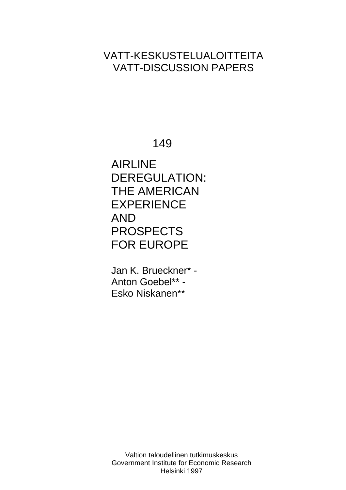# VATT-KESKUSTELUALOITTEITA VATT-DISCUSSION PAPERS

149

AIRLINE DEREGULATION: THE AMERICAN EXPERIENCE AND PROSPECTS FOR EUROPE

Jan K. Brueckner\* - Anton Goebel\*\* - Esko Niskanen\*\*

Valtion taloudellinen tutkimuskeskus Government Institute for Economic Research Helsinki 1997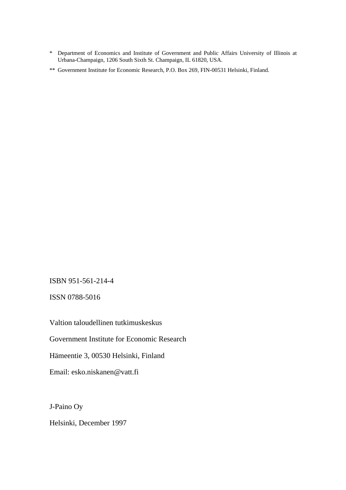- \* Department of Economics and Institute of Government and Public Affairs University of Illinois at Urbana-Champaign, 1206 South Sixth St. Champaign, IL 61820, USA.
- \*\* Government Institute for Economic Research, P.O. Box 269, FIN-00531 Helsinki, Finland.

ISBN 951-561-214-4

ISSN 0788-5016

Valtion taloudellinen tutkimuskeskus

Government Institute for Economic Research

Hämeentie 3, 00530 Helsinki, Finland

Email: esko.niskanen@vatt.fi

J-Paino Oy

Helsinki, December 1997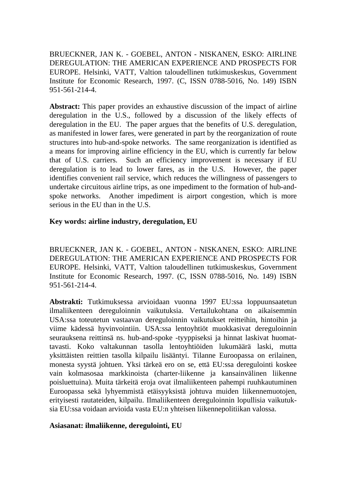BRUECKNER, JAN K. - GOEBEL, ANTON - NISKANEN, ESKO: AIRLINE DEREGULATION: THE AMERICAN EXPERIENCE AND PROSPECTS FOR EUROPE. Helsinki, VATT, Valtion taloudellinen tutkimuskeskus, Government Institute for Economic Research, 1997. (C, ISSN 0788-5016, No. 149) ISBN 951-561-214-4.

**Abstract:** This paper provides an exhaustive discussion of the impact of airline deregulation in the U.S., followed by a discussion of the likely effects of deregulation in the EU. The paper argues that the benefits of U.S. deregulation, as manifested in lower fares, were generated in part by the reorganization of route structures into hub-and-spoke networks. The same reorganization is identified as a means for improving airline efficiency in the EU, which is currently far below that of U.S. carriers. Such an efficiency improvement is necessary if EU deregulation is to lead to lower fares, as in the U.S. However, the paper identifies convenient rail service, which reduces the willingness of passengers to undertake circuitous airline trips, as one impediment to the formation of hub-andspoke networks. Another impediment is airport congestion, which is more serious in the EU than in the U.S.

## **Key words: airline industry, deregulation, EU**

BRUECKNER, JAN K. - GOEBEL, ANTON - NISKANEN, ESKO: AIRLINE DEREGULATION: THE AMERICAN EXPERIENCE AND PROSPECTS FOR EUROPE. Helsinki, VATT, Valtion taloudellinen tutkimuskeskus, Government Institute for Economic Research, 1997. (C, ISSN 0788-5016, No. 149) ISBN 951-561-214-4.

**Abstrakti:** Tutkimuksessa arvioidaan vuonna 1997 EU:ssa loppuunsaatetun ilmaliikenteen dereguloinnin vaikutuksia. Vertailukohtana on aikaisemmin USA:ssa toteutetun vastaavan dereguloinnin vaikutukset reitteihin, hintoihin ja viime kädessä hyvinvointiin. USA:ssa lentoyhtiöt muokkasivat dereguloinnin seurauksena reittinsä ns. hub-and-spoke -tyyppiseksi ja hinnat laskivat huomattavasti. Koko valtakunnan tasolla lentoyhtiöiden lukumäärä laski, mutta yksittäisten reittien tasolla kilpailu lisääntyi. Tilanne Euroopassa on erilainen, monesta syystä johtuen. Yksi tärkeä ero on se, että EU:ssa deregulointi koskee vain kolmasosaa markkinoista (charter-liikenne ja kansainvälinen liikenne poisluettuina). Muita tärkeitä eroja ovat ilmaliikenteen pahempi ruuhkautuminen Euroopassa sekä lyhyemmistä etäisyyksistä johtuva muiden liikennemuotojen, erityisesti rautateiden, kilpailu. Ilmaliikenteen dereguloinnin lopullisia vaikutuksia EU:ssa voidaan arvioida vasta EU:n yhteisen liikennepolitiikan valossa.

## **Asiasanat: ilmaliikenne, deregulointi, EU**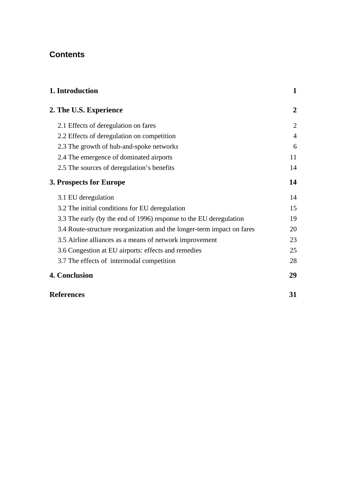## **Contents**

| 1. Introduction                                                        | $\mathbf 1$    |
|------------------------------------------------------------------------|----------------|
| 2. The U.S. Experience                                                 | $\overline{2}$ |
| 2.1 Effects of deregulation on fares                                   | $\overline{2}$ |
| 2.2 Effects of deregulation on competition                             | $\overline{4}$ |
| 2.3 The growth of hub-and-spoke networks                               | 6              |
| 2.4 The emergence of dominated airports                                | 11             |
| 2.5 The sources of deregulation's benefits                             | 14             |
| 3. Prospects for Europe                                                | 14             |
| 3.1 EU deregulation                                                    | 14             |
| 3.2 The initial conditions for EU deregulation                         | 15             |
| 3.3 The early (by the end of 1996) response to the EU deregulation     | 19             |
| 3.4 Route-structure reorganization and the longer-term impact on fares | 20             |
| 3.5 Airline alliances as a means of network improvement                | 23             |
| 3.6 Congestion at EU airports: effects and remedies                    | 25             |
| 3.7 The effects of intermodal competition                              | 28             |
| 4. Conclusion                                                          | 29             |

| <b>References</b> |  |
|-------------------|--|
|                   |  |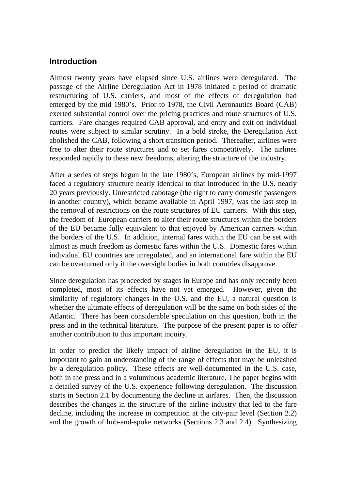## **Introduction**

Almost twenty years have elapsed since U.S. airlines were deregulated. The passage of the Airline Deregulation Act in 1978 initiated a period of dramatic restructuring of U.S. carriers, and most of the effects of deregulation had emerged by the mid 1980's. Prior to 1978, the Civil Aeronautics Board (CAB) exerted substantial control over the pricing practices and route structures of U.S. carriers. Fare changes required CAB approval, and entry and exit on individual routes were subject to similar scrutiny. In a bold stroke, the Deregulation Act abolished the CAB, following a short transition period. Thereafter, airlines were free to alter their route structures and to set fares competitively. The airlines responded rapidly to these new freedoms, altering the structure of the industry.

After a series of steps begun in the late 1980's, European airlines by mid-1997 faced a regulatory structure nearly identical to that introduced in the U.S. nearly 20 years previously. Unrestricted cabotage (the right to carry domestic passengers in another country), which became available in April 1997, was the last step in the removal of restrictions on the route structures of EU carriers. With this step, the freedom of European carriers to alter their route structures within the borders of the EU became fully equivalent to that enjoyed by American carriers within the borders of the U.S. In addition, internal fares within the EU can be set with almost as much freedom as domestic fares within the U.S. Domestic fares within individual EU countries are unregulated, and an international fare within the EU can be overturned only if the oversight bodies in both countries disapprove.

Since deregulation has proceeded by stages in Europe and has only recently been completed, most of its effects have not yet emerged. However, given the similarity of regulatory changes in the U.S. and the EU, a natural question is whether the ultimate effects of deregulation will be the same on both sides of the Atlantic. There has been considerable speculation on this question, both in the press and in the technical literature. The purpose of the present paper is to offer another contribution to this important inquiry.

In order to predict the likely impact of airline deregulation in the EU, it is important to gain an understanding of the range of effects that may be unleashed by a deregulation policy. These effects are well-documented in the U.S. case, both in the press and in a voluminous academic literature. The paper begins with a detailed survey of the U.S. experience following deregulation. The discussion starts in Section 2.1 by documenting the decline in airfares. Then, the discussion describes the changes in the structure of the airline industry that led to the fare decline, including the increase in competition at the city-pair level (Section 2.2) and the growth of hub-and-spoke networks (Sections 2.3 and 2.4). Synthesizing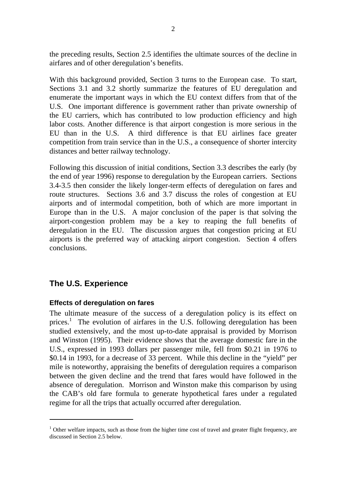the preceding results, Section 2.5 identifies the ultimate sources of the decline in airfares and of other deregulation's benefits.

With this background provided, Section 3 turns to the European case. To start, Sections 3.1 and 3.2 shortly summarize the features of EU deregulation and enumerate the important ways in which the EU context differs from that of the U.S. One important difference is government rather than private ownership of the EU carriers, which has contributed to low production efficiency and high labor costs. Another difference is that airport congestion is more serious in the EU than in the U.S. A third difference is that EU airlines face greater competition from train service than in the U.S., a consequence of shorter intercity distances and better railway technology.

Following this discussion of initial conditions, Section 3.3 describes the early (by the end of year 1996) response to deregulation by the European carriers. Sections 3.4-3.5 then consider the likely longer-term effects of deregulation on fares and route structures. Sections 3.6 and 3.7 discuss the roles of congestion at EU airports and of intermodal competition, both of which are more important in Europe than in the U.S. A major conclusion of the paper is that solving the airport-congestion problem may be a key to reaping the full benefits of deregulation in the EU. The discussion argues that congestion pricing at EU airports is the preferred way of attacking airport congestion. Section 4 offers conclusions.

## **The U.S. Experience**

 $\overline{a}$ 

## **Effects of deregulation on fares**

The ultimate measure of the success of a deregulation policy is its effect on prices.<sup>1</sup> The evolution of airfares in the U.S. following deregulation has been studied extensively, and the most up-to-date appraisal is provided by Morrison and Winston (1995). Their evidence shows that the average domestic fare in the U.S., expressed in 1993 dollars per passenger mile, fell from \$0.21 in 1976 to \$0.14 in 1993, for a decrease of 33 percent. While this decline in the "yield" per mile is noteworthy, appraising the benefits of deregulation requires a comparison between the given decline and the trend that fares would have followed in the absence of deregulation. Morrison and Winston make this comparison by using the CAB's old fare formula to generate hypothetical fares under a regulated regime for all the trips that actually occurred after deregulation.

<sup>&</sup>lt;sup>1</sup> Other welfare impacts, such as those from the higher time cost of travel and greater flight frequency, are discussed in Section 2.5 below.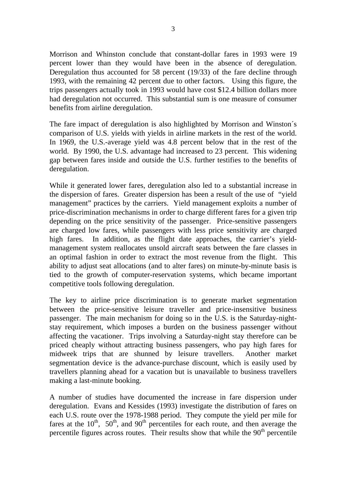Morrison and Whinston conclude that constant-dollar fares in 1993 were 19 percent lower than they would have been in the absence of deregulation. Deregulation thus accounted for 58 percent (19/33) of the fare decline through 1993, with the remaining 42 percent due to other factors. Using this figure, the trips passengers actually took in 1993 would have cost \$12.4 billion dollars more had deregulation not occurred. This substantial sum is one measure of consumer benefits from airline deregulation.

The fare impact of deregulation is also highlighted by Morrison and Winston´s comparison of U.S. yields with yields in airline markets in the rest of the world. In 1969, the U.S.-average yield was 4.8 percent below that in the rest of the world. By 1990, the U.S. advantage had increased to 23 percent. This widening gap between fares inside and outside the U.S. further testifies to the benefits of deregulation.

While it generated lower fares, deregulation also led to a substantial increase in the dispersion of fares. Greater dispersion has been a result of the use of "yield management" practices by the carriers. Yield management exploits a number of price-discrimination mechanisms in order to charge different fares for a given trip depending on the price sensitivity of the passenger. Price-sensitive passengers are charged low fares, while passengers with less price sensitivity are charged high fares. In addition, as the flight date approaches, the carrier's yieldmanagement system reallocates unsold aircraft seats between the fare classes in an optimal fashion in order to extract the most revenue from the flight. This ability to adjust seat allocations (and to alter fares) on minute-by-minute basis is tied to the growth of computer-reservation systems, which became important competitive tools following deregulation.

The key to airline price discrimination is to generate market segmentation between the price-sensitive leisure traveller and price-insensitive business passenger. The main mechanism for doing so in the U.S. is the Saturday-nightstay requirement, which imposes a burden on the business passenger without affecting the vacationer. Trips involving a Saturday-night stay therefore can be priced cheaply without attracting business passengers, who pay high fares for midweek trips that are shunned by leisure travellers. Another market segmentation device is the advance-purchase discount, which is easily used by travellers planning ahead for a vacation but is unavailable to business travellers making a last-minute booking.

A number of studies have documented the increase in fare dispersion under deregulation. Evans and Kessides (1993) investigate the distribution of fares on each U.S. route over the 1978-1988 period. They compute the yield per mile for fares at the  $10^{th}$ ,  $50^{th}$ , and  $90^{th}$  percentiles for each route, and then average the percentile figures across routes. Their results show that while the  $90<sup>th</sup>$  percentile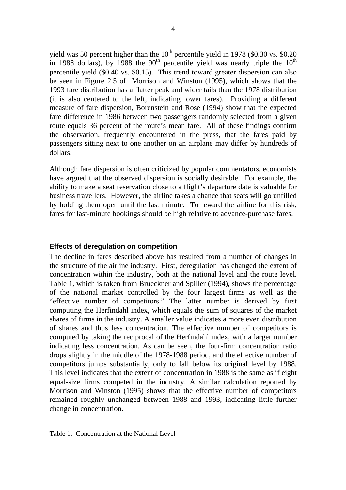yield was 50 percent higher than the  $10^{th}$  percentile yield in 1978 (\$0.30 vs. \$0.20 in 1988 dollars), by 1988 the 90<sup>th</sup> percentile yield was nearly triple the  $10^{th}$ percentile yield (\$0.40 vs. \$0.15). This trend toward greater dispersion can also be seen in Figure 2.5 of Morrison and Winston (1995), which shows that the 1993 fare distribution has a flatter peak and wider tails than the 1978 distribution (it is also centered to the left, indicating lower fares). Providing a different measure of fare dispersion, Borenstein and Rose (1994) show that the expected fare difference in 1986 between two passengers randomly selected from a given route equals 36 percent of the route's mean fare. All of these findings confirm the observation, frequently encountered in the press, that the fares paid by passengers sitting next to one another on an airplane may differ by hundreds of dollars.

Although fare dispersion is often criticized by popular commentators, economists have argued that the observed dispersion is socially desirable. For example, the ability to make a seat reservation close to a flight's departure date is valuable for business travellers. However, the airline takes a chance that seats will go unfilled by holding them open until the last minute. To reward the airline for this risk, fares for last-minute bookings should be high relative to advance-purchase fares.

#### **Effects of deregulation on competition**

The decline in fares described above has resulted from a number of changes in the structure of the airline industry. First, deregulation has changed the extent of concentration within the industry, both at the national level and the route level. Table 1, which is taken from Brueckner and Spiller (1994), shows the percentage of the national market controlled by the four largest firms as well as the "effective number of competitors." The latter number is derived by first computing the Herfindahl index, which equals the sum of squares of the market shares of firms in the industry. A smaller value indicates a more even distribution of shares and thus less concentration. The effective number of competitors is computed by taking the reciprocal of the Herfindahl index, with a larger number indicating less concentration. As can be seen, the four-firm concentration ratio drops slightly in the middle of the 1978-1988 period, and the effective number of competitors jumps substantially, only to fall below its original level by 1988. This level indicates that the extent of concentration in 1988 is the same as if eight equal-size firms competed in the industry. A similar calculation reported by Morrison and Winston (1995) shows that the effective number of competitors remained roughly unchanged between 1988 and 1993, indicating little further change in concentration.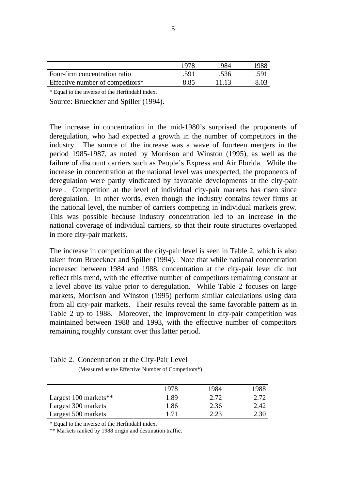|                                  | 1978 | 1984  | 1988 |
|----------------------------------|------|-------|------|
| Four-firm concentration ratio    | .591 | .536  | .591 |
| Effective number of competitors* | 8.85 | 11.13 | 8.03 |

\* Equal to the inverse of the Herfindahl index.

Source: Brueckner and Spiller (1994).

The increase in concentration in the mid-1980's surprised the proponents of deregulation, who had expected a growth in the number of competitors in the industry. The source of the increase was a wave of fourteen mergers in the period 1985-1987, as noted by Morrison and Winston (1995), as well as the failure of discount carriers such as People's Express and Air Florida. While the increase in concentration at the national level was unexpected, the proponents of deregulation were partly vindicated by favorable developments at the city-pair level. Competition at the level of individual city-pair markets has risen since deregulation. In other words, even though the industry contains fewer firms at the national level, the number of carriers competing in individual markets grew. This was possible because industry concentration led to an increase in the national coverage of individual carriers, so that their route structures overlapped in more city-pair markets.

The increase in competition at the city-pair level is seen in Table 2, which is also taken from Brueckner and Spiller (1994). Note that while national concentration increased between 1984 and 1988, concentration at the city-pair level did not reflect this trend, with the effective number of competitors remaining constant at a level above its value prior to deregulation. While Table 2 focuses on large markets, Morrison and Winston (1995) perform similar calculations using data from all city-pair markets. Their results reveal the same favorable pattern as in Table 2 up to 1988. Moreover, the improvement in city-pair competition was maintained between 1988 and 1993, with the effective number of competitors remaining roughly constant over this latter period.

|                         | 1978 | 1984 | 1988 |
|-------------------------|------|------|------|
| Largest $100$ markets** | 1.89 | 2.72 | 2.72 |
| Largest 300 markets     | 1.86 | 2.36 | 2.42 |
| Largest 500 markets     | 1.71 | 2.23 | 2.30 |

Table 2. Concentration at the City-Pair Level

(Measured as the Effective Number of Competitors\*)

\* Equal to the inverse of the Herfindahl index.

\*\* Markets ranked by 1988 origin and destination traffic.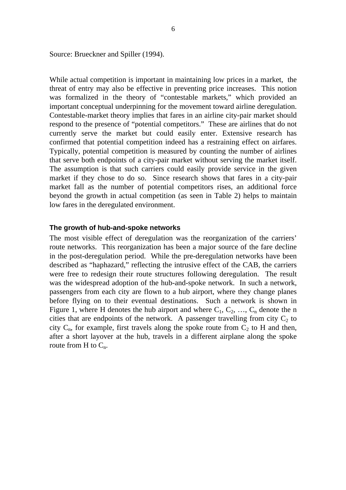Source: Brueckner and Spiller (1994).

While actual competition is important in maintaining low prices in a market, the threat of entry may also be effective in preventing price increases. This notion was formalized in the theory of "contestable markets," which provided an important conceptual underpinning for the movement toward airline deregulation. Contestable-market theory implies that fares in an airline city-pair market should respond to the presence of "potential competitors." These are airlines that do not currently serve the market but could easily enter. Extensive research has confirmed that potential competition indeed has a restraining effect on airfares. Typically, potential competition is measured by counting the number of airlines that serve both endpoints of a city-pair market without serving the market itself. The assumption is that such carriers could easily provide service in the given market if they chose to do so. Since research shows that fares in a city-pair market fall as the number of potential competitors rises, an additional force beyond the growth in actual competition (as seen in Table 2) helps to maintain low fares in the deregulated environment.

#### **The growth of hub-and-spoke networks**

The most visible effect of deregulation was the reorganization of the carriers' route networks. This reorganization has been a major source of the fare decline in the post-deregulation period. While the pre-deregulation networks have been described as "haphazard," reflecting the intrusive effect of the CAB, the carriers were free to redesign their route structures following deregulation. The result was the widespread adoption of the hub-and-spoke network. In such a network, passengers from each city are flown to a hub airport, where they change planes before flying on to their eventual destinations. Such a network is shown in Figure 1, where H denotes the hub airport and where  $C_1, C_2, ..., C_n$  denote the n cities that are endpoints of the network. A passenger travelling from city  $C_2$  to city  $C_n$ , for example, first travels along the spoke route from  $C_2$  to H and then, after a short layover at the hub, travels in a different airplane along the spoke route from H to  $C_n$ .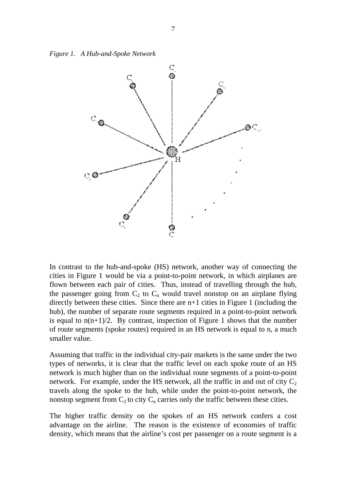*Figure 1. A Hub-and-Spoke Network*



In contrast to the hub-and-spoke (HS) network, another way of connecting the cities in Figure 1 would be via a point-to-point network, in which airplanes are flown between each pair of cities. Thus, instead of travelling through the hub, the passenger going from  $C_2$  to  $C_n$  would travel nonstop on an airplane flying directly between these cities. Since there are n+1 cities in Figure 1 (including the hub), the number of separate route segments required in a point-to-point network is equal to  $n(n+1)/2$ . By contrast, inspection of Figure 1 shows that the number of route segments (spoke routes) required in an HS network is equal to n, a much smaller value.

Assuming that traffic in the individual city-pair markets is the same under the two types of networks, it is clear that the traffic level on each spoke route of an HS network is much higher than on the individual route segments of a point-to-point network. For example, under the HS network, all the traffic in and out of city  $C_2$ travels along the spoke to the hub, while under the point-to-point network, the nonstop segment from  $C_2$  to city  $C_n$  carries only the traffic between these cities.

The higher traffic density on the spokes of an HS network confers a cost advantage on the airline. The reason is the existence of economies of traffic density, which means that the airline's cost per passenger on a route segment is a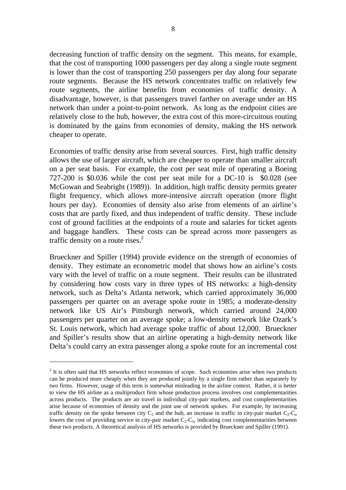decreasing function of traffic density on the segment. This means, for example, that the cost of transporting 1000 passengers per day along a single route segment is lower than the cost of transporting 250 passengers per day along four separate route segments. Because the HS network concentrates traffic on relatively few route segments, the airline benefits from economies of traffic density. A disadvantage, however, is that passengers travel farther on average under an HS network than under a point-to-point network. As long as the endpoint cities are relatively close to the hub, however, the extra cost of this more-circuitous routing is dominated by the gains from economies of density, making the HS network cheaper to operate.

Economies of traffic density arise from several sources. First, high traffic density allows the use of larger aircraft, which are cheaper to operate than smaller aircraft on a per seat basis. For example, the cost per seat mile of operating a Boeing 727-200 is \$0.036 while the cost per seat mile for a DC-10 is \$0.028 (see McGowan and Seabright (1989)). In addition, high traffic density permits greater flight frequency, which allows more-intensive aircraft operation (more flight hours per day). Economies of density also arise from elements of an airline's costs that are partly fixed, and thus independent of traffic density. These include cost of ground facilities at the endpoints of a route and salaries for ticket agents and baggage handlers. These costs can be spread across more passengers as traffic density on a route rises. $<sup>2</sup>$ </sup>

Brueckner and Spiller (1994) provide evidence on the strength of economies of density. They estimate an econometric model that shows how an airline's costs vary with the level of traffic on a route segment. Their results can be illustrated by considering how costs vary in three types of HS networks: a high-density network, such as Delta's Atlanta network, which carried approximately 36,000 passengers per quarter on an average spoke route in 1985; a moderate-density network like US Air's Pittsburgh network, which carried around 24,000 passengers per quarter on an average spoke; a low-density network like Ozark's St. Louis network, which had average spoke traffic of about 12,000. Brueckner and Spiller's results show that an airline operating a high-density network like Delta's could carry an extra passenger along a spoke route for an incremental cost

 $\overline{a}$ 

 $2$  It is often said that HS networks reflect economies of scope. Such economies arise when two products can be produced more cheaply when they are produced jointly by a single firm rather than separately by two firms. However, usage of this term is somewhat misleading in the airline context. Rather, it is better to view the HS airline as a multiproduct firm whose production process involves cost complementarities across products. The products are air travel in individual city-pair markets, and cost complementarities arise because of economies of density and the joint use of network spokes. For example, by increasing traffic density on the spoke between city  $C_2$  and the hub, an increase in traffic in city-pair market  $C_2$ - $C_n$ lowers the cost of providing service in city-pair market  $C_2-C_5$ , indicating cost complementarities between these two products. A theoretical analysis of HS networks is provided by Brueckner and Spiller (1991).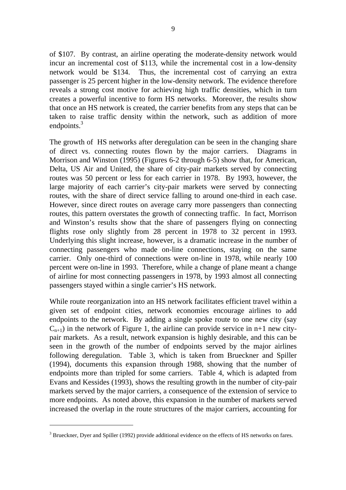of \$107. By contrast, an airline operating the moderate-density network would incur an incremental cost of \$113, while the incremental cost in a low-density network would be \$134. Thus, the incremental cost of carrying an extra passenger is 25 percent higher in the low-density network. The evidence therefore reveals a strong cost motive for achieving high traffic densities, which in turn creates a powerful incentive to form HS networks. Moreover, the results show that once an HS network is created, the carrier benefits from any steps that can be taken to raise traffic density within the network, such as addition of more endpoints.<sup>3</sup>

The growth of HS networks after deregulation can be seen in the changing share of direct vs. connecting routes flown by the major carriers. Diagrams in Morrison and Winston (1995) (Figures 6-2 through 6-5) show that, for American, Delta, US Air and United, the share of city-pair markets served by connecting routes was 50 percent or less for each carrier in 1978. By 1993, however, the large majority of each carrier's city-pair markets were served by connecting routes, with the share of direct service falling to around one-third in each case. However, since direct routes on average carry more passengers than connecting routes, this pattern overstates the growth of connecting traffic. In fact, Morrison and Winston's results show that the share of passengers flying on connecting flights rose only slightly from 28 percent in 1978 to 32 percent in 1993. Underlying this slight increase, however, is a dramatic increase in the number of connecting passengers who made on-line connections, staying on the same carrier. Only one-third of connections were on-line in 1978, while nearly 100 percent were on-line in 1993. Therefore, while a change of plane meant a change of airline for most connecting passengers in 1978, by 1993 almost all connecting passengers stayed within a single carrier's HS network.

While route reorganization into an HS network facilitates efficient travel within a given set of endpoint cities, network economies encourage airlines to add endpoints to the network. By adding a single spoke route to one new city (say  $C_{n+1}$ ) in the network of Figure 1, the airline can provide service in n+1 new citypair markets. As a result, network expansion is highly desirable, and this can be seen in the growth of the number of endpoints served by the major airlines following deregulation. Table 3, which is taken from Brueckner and Spiller (1994), documents this expansion through 1988, showing that the number of endpoints more than tripled for some carriers. Table 4, which is adapted from Evans and Kessides (1993), shows the resulting growth in the number of city-pair markets served by the major carriers, a consequence of the extension of service to more endpoints. As noted above, this expansion in the number of markets served increased the overlap in the route structures of the major carriers, accounting for

 $\overline{a}$ 

 $3$  Brueckner, Dyer and Spiller (1992) provide additional evidence on the effects of HS networks on fares.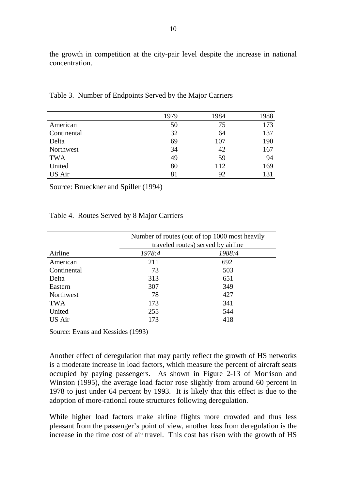the growth in competition at the city-pair level despite the increase in national concentration.

|               | 1979 | 1984 | 1988 |
|---------------|------|------|------|
| American      | 50   | 75   | 173  |
| Continental   | 32   | 64   | 137  |
| Delta         | 69   | 107  | 190  |
| Northwest     | 34   | 42   | 167  |
| <b>TWA</b>    | 49   | 59   | 94   |
| United        | 80   | 112  | 169  |
| <b>US Air</b> | 81   | 92   | 131  |

Table 3. Number of Endpoints Served by the Major Carriers

Source: Brueckner and Spiller (1994)

#### Table 4. Routes Served by 8 Major Carriers

|             | Number of routes (out of top 1000 most heavily |        |
|-------------|------------------------------------------------|--------|
|             | traveled routes) served by airline             |        |
| Airline     | 1978:4                                         | 1988:4 |
| American    | 211                                            | 692    |
| Continental | 73                                             | 503    |
| Delta       | 313                                            | 651    |
| Eastern     | 307                                            | 349    |
| Northwest   | 78                                             | 427    |
| <b>TWA</b>  | 173                                            | 341    |
| United      | 255                                            | 544    |
| US Air      | 173                                            | 418    |

Source: Evans and Kessides (1993)

Another effect of deregulation that may partly reflect the growth of HS networks is a moderate increase in load factors, which measure the percent of aircraft seats occupied by paying passengers. As shown in Figure 2-13 of Morrison and Winston (1995), the average load factor rose slightly from around 60 percent in 1978 to just under 64 percent by 1993. It is likely that this effect is due to the adoption of more-rational route structures following deregulation.

While higher load factors make airline flights more crowded and thus less pleasant from the passenger's point of view, another loss from deregulation is the increase in the time cost of air travel. This cost has risen with the growth of HS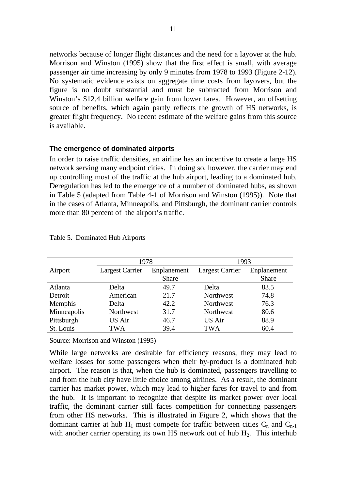networks because of longer flight distances and the need for a layover at the hub. Morrison and Winston (1995) show that the first effect is small, with average passenger air time increasing by only 9 minutes from 1978 to 1993 (Figure 2-12). No systematic evidence exists on aggregate time costs from layovers, but the figure is no doubt substantial and must be subtracted from Morrison and Winston's \$12.4 billion welfare gain from lower fares. However, an offsetting source of benefits, which again partly reflects the growth of HS networks, is greater flight frequency. No recent estimate of the welfare gains from this source is available.

#### **The emergence of dominated airports**

In order to raise traffic densities, an airline has an incentive to create a large HS network serving many endpoint cities. In doing so, however, the carrier may end up controlling most of the traffic at the hub airport, leading to a dominated hub. Deregulation has led to the emergence of a number of dominated hubs, as shown in Table 5 (adapted from Table 4-1 of Morrison and Winston (1995)). Note that in the cases of Atlanta, Minneapolis, and Pittsburgh, the dominant carrier controls more than 80 percent of the airport's traffic.

|             | 1978            |             | 1993            |             |
|-------------|-----------------|-------------|-----------------|-------------|
| Airport     | Largest Carrier | Enplanement | Largest Carrier | Enplanement |
|             |                 | Share       |                 | Share       |
| Atlanta     | Delta           | 49.7        | Delta           | 83.5        |
| Detroit     | American        | 21.7        | Northwest       | 74.8        |
| Memphis     | Delta           | 42.2        | Northwest       | 76.3        |
| Minneapolis | Northwest       | 31.7        | Northwest       | 80.6        |
| Pittsburgh  | US Air          | 46.7        | <b>US Air</b>   | 88.9        |
| St. Louis   | TWA             | 39.4        | <b>TWA</b>      | 60.4        |

Table 5. Dominated Hub Airports

Source: Morrison and Winston (1995)

While large networks are desirable for efficiency reasons, they may lead to welfare losses for some passengers when their by-product is a dominated hub airport. The reason is that, when the hub is dominated, passengers travelling to and from the hub city have little choice among airlines. As a result, the dominant carrier has market power, which may lead to higher fares for travel to and from the hub. It is important to recognize that despite its market power over local traffic, the dominant carrier still faces competition for connecting passengers from other HS networks. This is illustrated in Figure 2, which shows that the dominant carrier at hub  $H_1$  must compete for traffic between cities  $C_n$  and  $C_{n-1}$ with another carrier operating its own HS network out of hub  $H_2$ . This interhub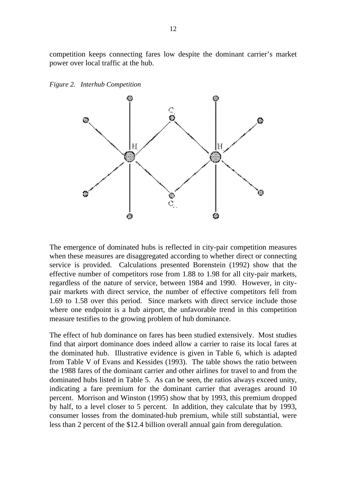competition keeps connecting fares low despite the dominant carrier's market power over local traffic at the hub.



*Figure 2. Interhub Competition*

The emergence of dominated hubs is reflected in city-pair competition measures when these measures are disaggregated according to whether direct or connecting service is provided. Calculations presented Borenstein (1992) show that the effective number of competitors rose from 1.88 to 1.98 for all city-pair markets, regardless of the nature of service, between 1984 and 1990. However, in citypair markets with direct service, the number of effective competitors fell from 1.69 to 1.58 over this period. Since markets with direct service include those where one endpoint is a hub airport, the unfavorable trend in this competition measure testifies to the growing problem of hub dominance.

The effect of hub dominance on fares has been studied extensively. Most studies find that airport dominance does indeed allow a carrier to raise its local fares at the dominated hub. Illustrative evidence is given in Table 6, which is adapted from Table V of Evans and Kessides (1993). The table shows the ratio between the 1988 fares of the dominant carrier and other airlines for travel to and from the dominated hubs listed in Table 5. As can be seen, the ratios always exceed unity, indicating a fare premium for the dominant carrier that averages around 10 percent. Morrison and Winston (1995) show that by 1993, this premium dropped by half, to a level closer to 5 percent. In addition, they calculate that by 1993, consumer losses from the dominated-hub premium, while still substantial, were less than 2 percent of the \$12.4 billion overall annual gain from deregulation.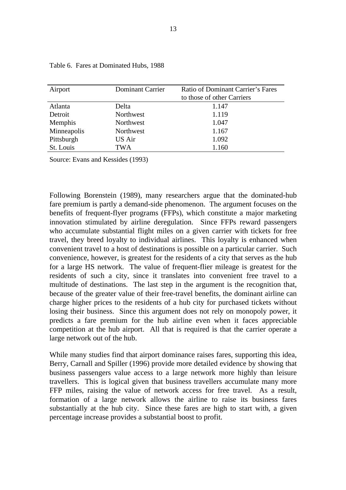| Airport     | <b>Dominant Carrier</b> | Ratio of Dominant Carrier's Fares<br>to those of other Carriers |
|-------------|-------------------------|-----------------------------------------------------------------|
| Atlanta     | Delta                   | 1.147                                                           |
| Detroit     | Northwest               | 1.119                                                           |
| Memphis     | Northwest               | 1.047                                                           |
| Minneapolis | Northwest               | 1.167                                                           |
| Pittsburgh  | US Air                  | 1.092                                                           |
| St. Louis   | <b>TWA</b>              | 1.160                                                           |

|  |  |  | Table 6. Fares at Dominated Hubs, 1988 |  |  |
|--|--|--|----------------------------------------|--|--|
|--|--|--|----------------------------------------|--|--|

Source: Evans and Kessides (1993)

Following Borenstein (1989), many researchers argue that the dominated-hub fare premium is partly a demand-side phenomenon. The argument focuses on the benefits of frequent-flyer programs (FFPs), which constitute a major marketing innovation stimulated by airline deregulation. Since FFPs reward passengers who accumulate substantial flight miles on a given carrier with tickets for free travel, they breed loyalty to individual airlines. This loyalty is enhanced when convenient travel to a host of destinations is possible on a particular carrier. Such convenience, however, is greatest for the residents of a city that serves as the hub for a large HS network. The value of frequent-flier mileage is greatest for the residents of such a city, since it translates into convenient free travel to a multitude of destinations. The last step in the argument is the recognition that, because of the greater value of their free-travel benefits, the dominant airline can charge higher prices to the residents of a hub city for purchased tickets without losing their business. Since this argument does not rely on monopoly power, it predicts a fare premium for the hub airline even when it faces appreciable competition at the hub airport. All that is required is that the carrier operate a large network out of the hub.

While many studies find that airport dominance raises fares, supporting this idea, Berry, Carnall and Spiller (1996) provide more detailed evidence by showing that business passengers value access to a large network more highly than leisure travellers. This is logical given that business travellers accumulate many more FFP miles, raising the value of network access for free travel. As a result, formation of a large network allows the airline to raise its business fares substantially at the hub city. Since these fares are high to start with, a given percentage increase provides a substantial boost to profit.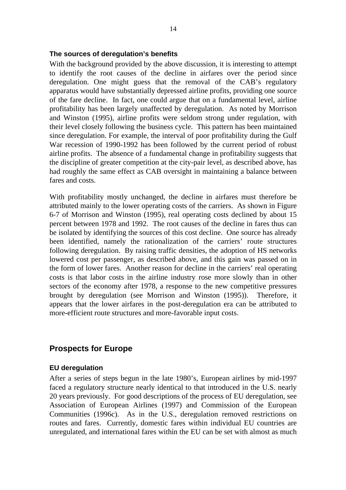#### **The sources of deregulation's benefits**

With the background provided by the above discussion, it is interesting to attempt to identify the root causes of the decline in airfares over the period since deregulation. One might guess that the removal of the CAB's regulatory apparatus would have substantially depressed airline profits, providing one source of the fare decline. In fact, one could argue that on a fundamental level, airline profitability has been largely unaffected by deregulation. As noted by Morrison and Winston (1995), airline profits were seldom strong under regulation, with their level closely following the business cycle. This pattern has been maintained since deregulation. For example, the interval of poor profitability during the Gulf War recession of 1990-1992 has been followed by the current period of robust airline profits. The absence of a fundamental change in profitability suggests that the discipline of greater competition at the city-pair level, as described above, has had roughly the same effect as CAB oversight in maintaining a balance between fares and costs.

With profitability mostly unchanged, the decline in airfares must therefore be attributed mainly to the lower operating costs of the carriers. As shown in Figure 6-7 of Morrison and Winston (1995), real operating costs declined by about 15 percent between 1978 and 1992. The root causes of the decline in fares thus can be isolated by identifying the sources of this cost decline. One source has already been identified, namely the rationalization of the carriers' route structures following deregulation. By raising traffic densities, the adoption of HS networks lowered cost per passenger, as described above, and this gain was passed on in the form of lower fares. Another reason for decline in the carriers' real operating costs is that labor costs in the airline industry rose more slowly than in other sectors of the economy after 1978, a response to the new competitive pressures brought by deregulation (see Morrison and Winston (1995)). Therefore, it appears that the lower airfares in the post-deregulation era can be attributed to more-efficient route structures and more-favorable input costs.

## **Prospects for Europe**

#### **EU deregulation**

After a series of steps begun in the late 1980's, European airlines by mid-1997 faced a regulatory structure nearly identical to that introduced in the U.S. nearly 20 years previously. For good descriptions of the process of EU deregulation, see Association of European Airlines (1997) and Commission of the European Communities (1996c). As in the U.S., deregulation removed restrictions on routes and fares. Currently, domestic fares within individual EU countries are unregulated, and international fares within the EU can be set with almost as much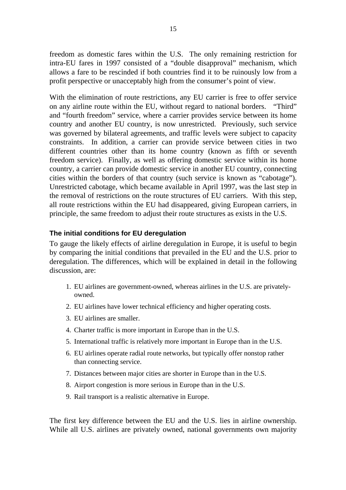freedom as domestic fares within the U.S. The only remaining restriction for intra-EU fares in 1997 consisted of a "double disapproval" mechanism, which allows a fare to be rescinded if both countries find it to be ruinously low from a profit perspective or unacceptably high from the consumer's point of view.

With the elimination of route restrictions, any EU carrier is free to offer service on any airline route within the EU, without regard to national borders. "Third" and "fourth freedom" service, where a carrier provides service between its home country and another EU country, is now unrestricted. Previously, such service was governed by bilateral agreements, and traffic levels were subject to capacity constraints. In addition, a carrier can provide service between cities in two different countries other than its home country (known as fifth or seventh freedom service). Finally, as well as offering domestic service within its home country, a carrier can provide domestic service in another EU country, connecting cities within the borders of that country (such service is known as "cabotage"). Unrestricted cabotage, which became available in April 1997, was the last step in the removal of restrictions on the route structures of EU carriers. With this step, all route restrictions within the EU had disappeared, giving European carriers, in principle, the same freedom to adjust their route structures as exists in the U.S.

### **The initial conditions for EU deregulation**

To gauge the likely effects of airline deregulation in Europe, it is useful to begin by comparing the initial conditions that prevailed in the EU and the U.S. prior to deregulation. The differences, which will be explained in detail in the following discussion, are:

- 1. EU airlines are government-owned, whereas airlines in the U.S. are privatelyowned.
- 2. EU airlines have lower technical efficiency and higher operating costs.
- 3. EU airlines are smaller.
- 4. Charter traffic is more important in Europe than in the U.S.
- 5. International traffic is relatively more important in Europe than in the U.S.
- 6. EU airlines operate radial route networks, but typically offer nonstop rather than connecting service.
- 7. Distances between major cities are shorter in Europe than in the U.S.
- 8. Airport congestion is more serious in Europe than in the U.S.
- 9. Rail transport is a realistic alternative in Europe.

The first key difference between the EU and the U.S. lies in airline ownership. While all U.S. airlines are privately owned, national governments own majority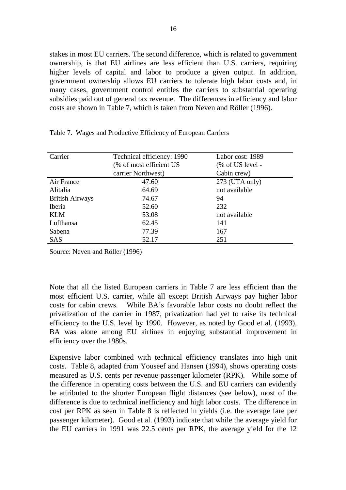stakes in most EU carriers. The second difference, which is related to government ownership, is that EU airlines are less efficient than U.S. carriers, requiring higher levels of capital and labor to produce a given output. In addition, government ownership allows EU carriers to tolerate high labor costs and, in many cases, government control entitles the carriers to substantial operating subsidies paid out of general tax revenue. The differences in efficiency and labor costs are shown in Table 7, which is taken from Neven and Röller (1996).

| Carrier                | Technical efficiency: 1990 | Labor cost: 1989  |
|------------------------|----------------------------|-------------------|
|                        | (% of most efficient US    | $%$ of US level - |
|                        | carrier Northwest)         | Cabin crew)       |
| Air France             | 47.60                      | $273$ (UTA only)  |
| Alitalia               | 64.69                      | not available     |
| <b>British Airways</b> | 74.67                      | 94                |
| <b>Iberia</b>          | 52.60                      | 232               |
| <b>KLM</b>             | 53.08                      | not available     |
| Lufthansa              | 62.45                      | 141               |
| Sabena                 | 77.39                      | 167               |
| <b>SAS</b>             | 52.17                      | 251               |

Table 7. Wages and Productive Efficiency of European Carriers

Source: Neven and Röller (1996)

Note that all the listed European carriers in Table 7 are less efficient than the most efficient U.S. carrier, while all except British Airways pay higher labor costs for cabin crews. While BA's favorable labor costs no doubt reflect the privatization of the carrier in 1987, privatization had yet to raise its technical efficiency to the U.S. level by 1990. However, as noted by Good et al. (1993), BA was alone among EU airlines in enjoying substantial improvement in efficiency over the 1980s.

Expensive labor combined with technical efficiency translates into high unit costs. Table 8, adapted from Youseef and Hansen (1994), shows operating costs measured as U.S. cents per revenue passenger kilometer (RPK). While some of the difference in operating costs between the U.S. and EU carriers can evidently be attributed to the shorter European flight distances (see below), most of the difference is due to technical inefficiency and high labor costs. The difference in cost per RPK as seen in Table 8 is reflected in yields (i.e. the average fare per passenger kilometer). Good et al. (1993) indicate that while the average yield for the EU carriers in 1991 was 22.5 cents per RPK, the average yield for the 12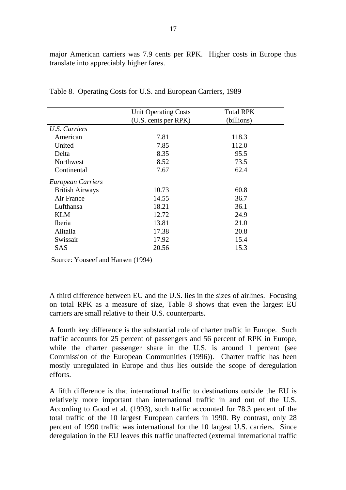major American carriers was 7.9 cents per RPK. Higher costs in Europe thus translate into appreciably higher fares.

|                          | <b>Unit Operating Costs</b> | <b>Total RPK</b> |
|--------------------------|-----------------------------|------------------|
|                          | (U.S. cents per RPK)        | (billions)       |
| U.S. Carriers            |                             |                  |
| American                 | 7.81                        | 118.3            |
| United                   | 7.85                        | 112.0            |
| Delta                    | 8.35                        | 95.5             |
| Northwest                | 8.52                        | 73.5             |
| Continental              | 7.67                        | 62.4             |
| <b>European Carriers</b> |                             |                  |
| <b>British Airways</b>   | 10.73                       | 60.8             |
| Air France               | 14.55                       | 36.7             |
| Lufthansa                | 18.21                       | 36.1             |
| <b>KLM</b>               | 12.72                       | 24.9             |
| Iberia                   | 13.81                       | 21.0             |
| Alitalia                 | 17.38                       | 20.8             |
| Swissair                 | 17.92                       | 15.4             |
| <b>SAS</b>               | 20.56                       | 15.3             |

Table 8. Operating Costs for U.S. and European Carriers, 1989

Source: Youseef and Hansen (1994)

A third difference between EU and the U.S. lies in the sizes of airlines. Focusing on total RPK as a measure of size, Table 8 shows that even the largest EU carriers are small relative to their U.S. counterparts.

A fourth key difference is the substantial role of charter traffic in Europe. Such traffic accounts for 25 percent of passengers and 56 percent of RPK in Europe, while the charter passenger share in the U.S. is around 1 percent (see Commission of the European Communities (1996)). Charter traffic has been mostly unregulated in Europe and thus lies outside the scope of deregulation efforts.

A fifth difference is that international traffic to destinations outside the EU is relatively more important than international traffic in and out of the U.S. According to Good et al. (1993), such traffic accounted for 78.3 percent of the total traffic of the 10 largest European carriers in 1990. By contrast, only 28 percent of 1990 traffic was international for the 10 largest U.S. carriers. Since deregulation in the EU leaves this traffic unaffected (external international traffic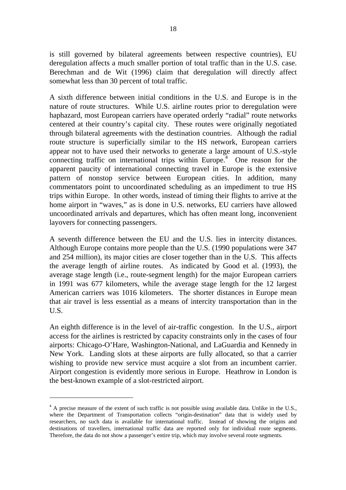is still governed by bilateral agreements between respective countries), EU deregulation affects a much smaller portion of total traffic than in the U.S. case. Berechman and de Wit (1996) claim that deregulation will directly affect somewhat less than 30 percent of total traffic.

A sixth difference between initial conditions in the U.S. and Europe is in the nature of route structures. While U.S. airline routes prior to deregulation were haphazard, most European carriers have operated orderly "radial" route networks centered at their country's capital city. These routes were originally negotiated through bilateral agreements with the destination countries. Although the radial route structure is superficially similar to the HS network, European carriers appear not to have used their networks to generate a large amount of U.S.-style connecting traffic on international trips within  $Europe<sup>4</sup>$ . One reason for the apparent paucity of international connecting travel in Europe is the extensive pattern of nonstop service between European cities. In addition, many commentators point to uncoordinated scheduling as an impediment to true HS trips within Europe. In other words, instead of timing their flights to arrive at the home airport in "waves," as is done in U.S. networks, EU carriers have allowed uncoordinated arrivals and departures, which has often meant long, inconvenient layovers for connecting passengers.

A seventh difference between the EU and the U.S. lies in intercity distances. Although Europe contains more people than the U.S. (1990 populations were 347 and 254 million), its major cities are closer together than in the U.S. This affects the average length of airline routes. As indicated by Good et al. (1993), the average stage length (i.e., route-segment length) for the major European carriers in 1991 was 677 kilometers, while the average stage length for the 12 largest American carriers was 1016 kilometers. The shorter distances in Europe mean that air travel is less essential as a means of intercity transportation than in the U.S.

An eighth difference is in the level of air-traffic congestion. In the U.S., airport access for the airlines is restricted by capacity constraints only in the cases of four airports: Chicago-O'Hare, Washington-National, and LaGuardia and Kennedy in New York. Landing slots at these airports are fully allocated, so that a carrier wishing to provide new service must acquire a slot from an incumbent carrier. Airport congestion is evidently more serious in Europe. Heathrow in London is the best-known example of a slot-restricted airport.

 $\overline{a}$ 

<sup>&</sup>lt;sup>4</sup> A precise measure of the extent of such traffic is not possible using available data. Unlike in the U.S., where the Department of Transportation collects "origin-destination" data that is widely used by researchers, no such data is available for international traffic. Instead of showing the origins and destinations of travellers, international traffic data are reported only for individual route segments. Therefore, the data do not show a passenger's entire trip, which may involve several route segments.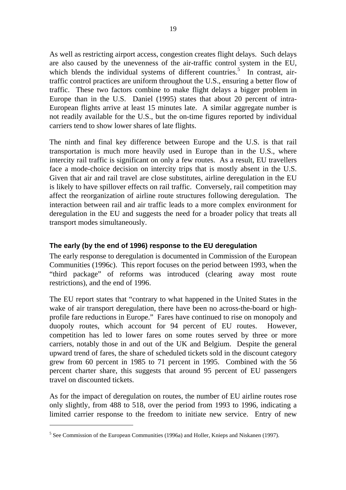As well as restricting airport access, congestion creates flight delays. Such delays are also caused by the unevenness of the air-traffic control system in the EU, which blends the individual systems of different countries.<sup>5</sup> In contrast, airtraffic control practices are uniform throughout the U.S., ensuring a better flow of traffic. These two factors combine to make flight delays a bigger problem in Europe than in the U.S. Daniel (1995) states that about 20 percent of intra-European flights arrive at least 15 minutes late. A similar aggregate number is not readily available for the U.S., but the on-time figures reported by individual carriers tend to show lower shares of late flights.

The ninth and final key difference between Europe and the U.S. is that rail transportation is much more heavily used in Europe than in the U.S., where intercity rail traffic is significant on only a few routes. As a result, EU travellers face a mode-choice decision on intercity trips that is mostly absent in the U.S. Given that air and rail travel are close substitutes, airline deregulation in the EU is likely to have spillover effects on rail traffic. Conversely, rail competition may affect the reorganization of airline route structures following deregulation. The interaction between rail and air traffic leads to a more complex environment for deregulation in the EU and suggests the need for a broader policy that treats all transport modes simultaneously.

### **The early (by the end of 1996) response to the EU deregulation**

The early response to deregulation is documented in Commission of the European Communities (1996c). This report focuses on the period between 1993, when the "third package" of reforms was introduced (clearing away most route restrictions), and the end of 1996.

The EU report states that "contrary to what happened in the United States in the wake of air transport deregulation, there have been no across-the-board or highprofile fare reductions in Europe." Fares have continued to rise on monopoly and duopoly routes, which account for 94 percent of EU routes. However, competition has led to lower fares on some routes served by three or more carriers, notably those in and out of the UK and Belgium. Despite the general upward trend of fares, the share of scheduled tickets sold in the discount category grew from 60 percent in 1985 to 71 percent in 1995. Combined with the 56 percent charter share, this suggests that around 95 percent of EU passengers travel on discounted tickets.

As for the impact of deregulation on routes, the number of EU airline routes rose only slightly, from 488 to 518, over the period from 1993 to 1996, indicating a limited carrier response to the freedom to initiate new service. Entry of new

 $\overline{a}$ 

 $<sup>5</sup>$  See Commission of the European Communities (1996a) and Holler, Knieps and Niskanen (1997).</sup>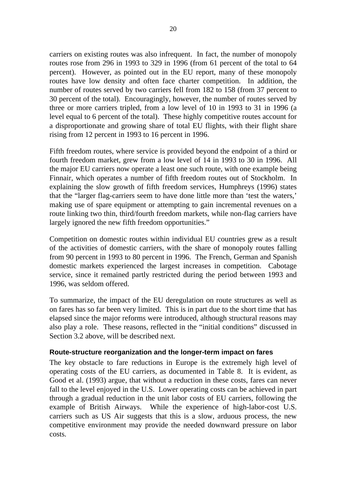carriers on existing routes was also infrequent. In fact, the number of monopoly routes rose from 296 in 1993 to 329 in 1996 (from 61 percent of the total to 64 percent). However, as pointed out in the EU report, many of these monopoly routes have low density and often face charter competition. In addition, the number of routes served by two carriers fell from 182 to 158 (from 37 percent to 30 percent of the total). Encouragingly, however, the number of routes served by three or more carriers tripled, from a low level of 10 in 1993 to 31 in 1996 (a level equal to 6 percent of the total). These highly competitive routes account for a disproportionate and growing share of total EU flights, with their flight share rising from 12 percent in 1993 to 16 percent in 1996.

Fifth freedom routes, where service is provided beyond the endpoint of a third or fourth freedom market, grew from a low level of 14 in 1993 to 30 in 1996. All the major EU carriers now operate a least one such route, with one example being Finnair, which operates a number of fifth freedom routes out of Stockholm. In explaining the slow growth of fifth freedom services, Humphreys (1996) states that the "larger flag-carriers seem to have done little more than 'test the waters,' making use of spare equipment or attempting to gain incremental revenues on a route linking two thin, third/fourth freedom markets, while non-flag carriers have largely ignored the new fifth freedom opportunities."

Competition on domestic routes within individual EU countries grew as a result of the activities of domestic carriers, with the share of monopoly routes falling from 90 percent in 1993 to 80 percent in 1996. The French, German and Spanish domestic markets experienced the largest increases in competition. Cabotage service, since it remained partly restricted during the period between 1993 and 1996, was seldom offered.

To summarize, the impact of the EU deregulation on route structures as well as on fares has so far been very limited. This is in part due to the short time that has elapsed since the major reforms were introduced, although structural reasons may also play a role. These reasons, reflected in the "initial conditions" discussed in Section 3.2 above, will be described next.

#### **Route-structure reorganization and the longer-term impact on fares**

The key obstacle to fare reductions in Europe is the extremely high level of operating costs of the EU carriers, as documented in Table 8. It is evident, as Good et al. (1993) argue, that without a reduction in these costs, fares can never fall to the level enjoyed in the U.S. Lower operating costs can be achieved in part through a gradual reduction in the unit labor costs of EU carriers, following the example of British Airways. While the experience of high-labor-cost U.S. carriers such as US Air suggests that this is a slow, arduous process, the new competitive environment may provide the needed downward pressure on labor costs.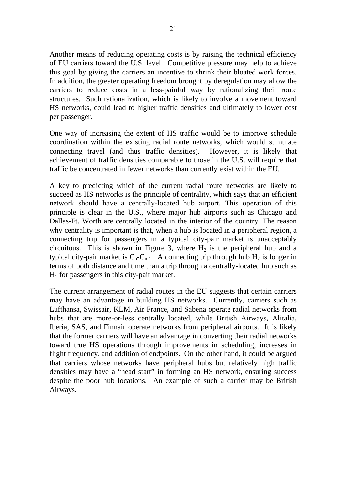Another means of reducing operating costs is by raising the technical efficiency of EU carriers toward the U.S. level. Competitive pressure may help to achieve this goal by giving the carriers an incentive to shrink their bloated work forces. In addition, the greater operating freedom brought by deregulation may allow the carriers to reduce costs in a less-painful way by rationalizing their route structures. Such rationalization, which is likely to involve a movement toward HS networks, could lead to higher traffic densities and ultimately to lower cost per passenger.

One way of increasing the extent of HS traffic would be to improve schedule coordination within the existing radial route networks, which would stimulate connecting travel (and thus traffic densities). However, it is likely that achievement of traffic densities comparable to those in the U.S. will require that traffic be concentrated in fewer networks than currently exist within the EU.

A key to predicting which of the current radial route networks are likely to succeed as HS networks is the principle of centrality, which says that an efficient network should have a centrally-located hub airport. This operation of this principle is clear in the U.S., where major hub airports such as Chicago and Dallas-Ft. Worth are centrally located in the interior of the country. The reason why centrality is important is that, when a hub is located in a peripheral region, a connecting trip for passengers in a typical city-pair market is unacceptably circuitous. This is shown in Figure 3, where  $H_2$  is the peripheral hub and a typical city-pair market is  $C_n-C_{n-1}$ . A connecting trip through hub  $H_2$  is longer in terms of both distance and time than a trip through a centrally-located hub such as  $H<sub>1</sub>$  for passengers in this city-pair market.

The current arrangement of radial routes in the EU suggests that certain carriers may have an advantage in building HS networks. Currently, carriers such as Lufthansa, Swissair, KLM, Air France, and Sabena operate radial networks from hubs that are more-or-less centrally located, while British Airways, Alitalia, Iberia, SAS, and Finnair operate networks from peripheral airports. It is likely that the former carriers will have an advantage in converting their radial networks toward true HS operations through improvements in scheduling, increases in flight frequency, and addition of endpoints. On the other hand, it could be argued that carriers whose networks have peripheral hubs but relatively high traffic densities may have a "head start" in forming an HS network, ensuring success despite the poor hub locations. An example of such a carrier may be British Airways.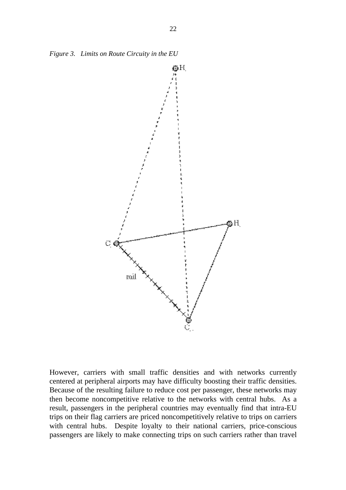*Figure 3. Limits on Route Circuity in the EU*



However, carriers with small traffic densities and with networks currently centered at peripheral airports may have difficulty boosting their traffic densities. Because of the resulting failure to reduce cost per passenger, these networks may then become noncompetitive relative to the networks with central hubs. As a result, passengers in the peripheral countries may eventually find that intra-EU trips on their flag carriers are priced noncompetitively relative to trips on carriers with central hubs. Despite loyalty to their national carriers, price-conscious passengers are likely to make connecting trips on such carriers rather than travel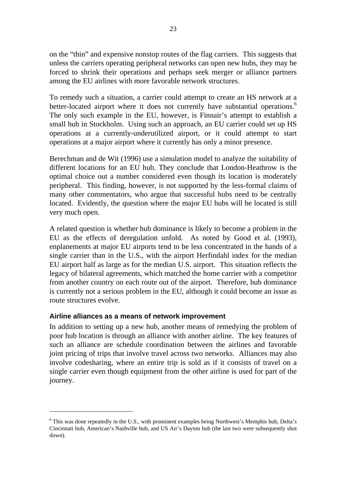on the "thin" and expensive nonstop routes of the flag carriers. This suggests that unless the carriers operating peripheral networks can open new hubs, they may be forced to shrink their operations and perhaps seek merger or alliance partners among the EU airlines with more favorable network structures.

To remedy such a situation, a carrier could attempt to create an HS network at a better-located airport where it does not currently have substantial operations.<sup>6</sup> The only such example in the EU, however, is Finnair's attempt to establish a small hub in Stockholm. Using such an approach, an EU carrier could set up HS operations at a currently-underutilized airport, or it could attempt to start operations at a major airport where it currently has only a minor presence.

Berechman and de Wit (1996) use a simulation model to analyze the suitability of different locations for an EU hub. They conclude that London-Heathrow is the optimal choice out a number considered even though its location is moderately peripheral. This finding, however, is not supported by the less-formal claims of many other commentators, who argue that successful hubs need to be centrally located. Evidently, the question where the major EU hubs will be located is still very much open.

A related question is whether hub dominance is likely to become a problem in the EU as the effects of deregulation unfold. As noted by Good et al. (1993), enplanements at major EU airports tend to be less concentrated in the hands of a single carrier than in the U.S., with the airport Herfindahl index for the median EU airport half as large as for the median U.S. airport. This situation reflects the legacy of bilateral agreements, which matched the home carrier with a competitor from another country on each route out of the airport. Therefore, hub dominance is currently not a serious problem in the EU, although it could become an issue as route structures evolve.

## **Airline alliances as a means of network improvement**

 $\overline{a}$ 

In addition to setting up a new hub, another means of remedying the problem of poor hub location is through an alliance with another airline. The key features of such an alliance are schedule coordination between the airlines and favorable joint pricing of trips that involve travel across two networks. Alliances may also involve codesharing, where an entire trip is sold as if it consists of travel on a single carrier even though equipment from the other airline is used for part of the journey.

<sup>&</sup>lt;sup>6</sup> This was done repeatedly in the U.S., with prominent examples being Northwest's Memphis hub, Delta's Cincinnati hub, American's Nashville hub, and US Air's Dayton hub (the last two were subsequently shut down).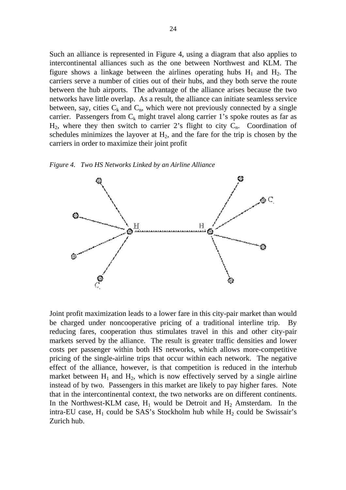Such an alliance is represented in Figure 4, using a diagram that also applies to intercontinental alliances such as the one between Northwest and KLM. The figure shows a linkage between the airlines operating hubs  $H_1$  and  $H_2$ . The carriers serve a number of cities out of their hubs, and they both serve the route between the hub airports. The advantage of the alliance arises because the two networks have little overlap. As a result, the alliance can initiate seamless service between, say, cities  $C_k$  and  $C_n$ , which were not previously connected by a single carrier. Passengers from  $C_k$  might travel along carrier 1's spoke routes as far as  $H_2$ , where they then switch to carrier 2's flight to city  $C_n$ . Coordination of schedules minimizes the layover at  $H_2$ , and the fare for the trip is chosen by the carriers in order to maximize their joint profit

*Figure 4. Two HS Networks Linked by an Airline Alliance*



Joint profit maximization leads to a lower fare in this city-pair market than would be charged under noncooperative pricing of a traditional interline trip. By reducing fares, cooperation thus stimulates travel in this and other city-pair markets served by the alliance. The result is greater traffic densities and lower costs per passenger within both HS networks, which allows more-competitive pricing of the single-airline trips that occur within each network. The negative effect of the alliance, however, is that competition is reduced in the interhub market between  $H_1$  and  $H_2$ , which is now effectively served by a single airline instead of by two. Passengers in this market are likely to pay higher fares. Note that in the intercontinental context, the two networks are on different continents. In the Northwest-KLM case,  $H_1$  would be Detroit and  $H_2$  Amsterdam. In the intra-EU case,  $H_1$  could be SAS's Stockholm hub while  $H_2$  could be Swissair's Zurich hub.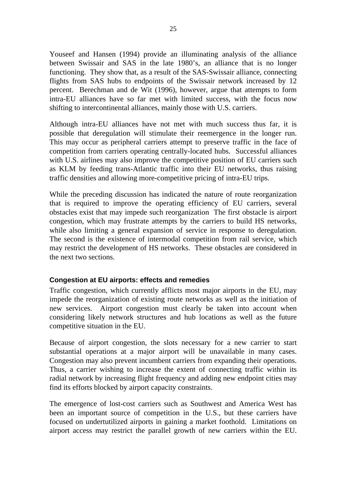Youseef and Hansen (1994) provide an illuminating analysis of the alliance between Swissair and SAS in the late 1980's, an alliance that is no longer functioning. They show that, as a result of the SAS-Swissair alliance, connecting flights from SAS hubs to endpoints of the Swissair network increased by 12 percent. Berechman and de Wit (1996), however, argue that attempts to form intra-EU alliances have so far met with limited success, with the focus now shifting to intercontinental alliances, mainly those with U.S. carriers.

Although intra-EU alliances have not met with much success thus far, it is possible that deregulation will stimulate their reemergence in the longer run. This may occur as peripheral carriers attempt to preserve traffic in the face of competition from carriers operating centrally-located hubs. Successful alliances with U.S. airlines may also improve the competitive position of EU carriers such as KLM by feeding trans-Atlantic traffic into their EU networks, thus raising traffic densities and allowing more-competitive pricing of intra-EU trips.

While the preceding discussion has indicated the nature of route reorganization that is required to improve the operating efficiency of EU carriers, several obstacles exist that may impede such reorganization The first obstacle is airport congestion, which may frustrate attempts by the carriers to build HS networks, while also limiting a general expansion of service in response to deregulation. The second is the existence of intermodal competition from rail service, which may restrict the development of HS networks. These obstacles are considered in the next two sections.

## **Congestion at EU airports: effects and remedies**

Traffic congestion, which currently afflicts most major airports in the EU, may impede the reorganization of existing route networks as well as the initiation of new services. Airport congestion must clearly be taken into account when considering likely network structures and hub locations as well as the future competitive situation in the EU.

Because of airport congestion, the slots necessary for a new carrier to start substantial operations at a major airport will be unavailable in many cases. Congestion may also prevent incumbent carriers from expanding their operations. Thus, a carrier wishing to increase the extent of connecting traffic within its radial network by increasing flight frequency and adding new endpoint cities may find its efforts blocked by airport capacity constraints.

The emergence of lost-cost carriers such as Southwest and America West has been an important source of competition in the U.S., but these carriers have focused on undertutilized airports in gaining a market foothold. Limitations on airport access may restrict the parallel growth of new carriers within the EU.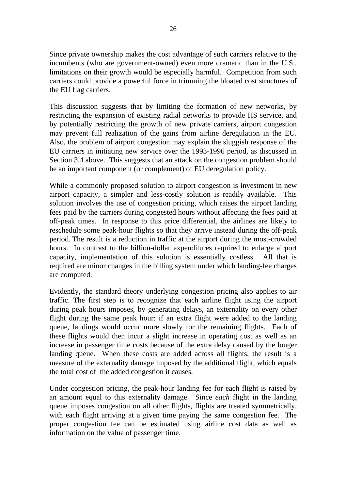Since private ownership makes the cost advantage of such carriers relative to the incumbents (who are government-owned) even more dramatic than in the U.S., limitations on their growth would be especially harmful. Competition from such carriers could provide a powerful force in trimming the bloated cost structures of the EU flag carriers.

This discussion suggests that by limiting the formation of new networks, by restricting the expansion of existing radial networks to provide HS service, and by potentially restricting the growth of new private carriers, airport congestion may prevent full realization of the gains from airline deregulation in the EU. Also, the problem of airport congestion may explain the sluggish response of the EU carriers in initiating new service over the 1993-1996 period, as discussed in Section 3.4 above. This suggests that an attack on the congestion problem should be an important component (or complement) of EU deregulation policy.

While a commonly proposed solution to airport congestion is investment in new airport capacity, a simpler and less-costly solution is readily available. This solution involves the use of congestion pricing, which raises the airport landing fees paid by the carriers during congested hours without affecting the fees paid at off-peak times. In response to this price differential, the airlines are likely to reschedule some peak-hour flights so that they arrive instead during the off-peak period. The result is a reduction in traffic at the airport during the most-crowded hours. In contrast to the billion-dollar expenditures required to enlarge airport capacity, implementation of this solution is essentially costless. All that is required are minor changes in the billing system under which landing-fee charges are computed.

Evidently, the standard theory underlying congestion pricing also applies to air traffic. The first step is to recognize that each airline flight using the airport during peak hours imposes, by generating delays, an externality on every other flight during the same peak hour: if an extra flight were added to the landing queue, landings would occur more slowly for the remaining flights. Each of these flights would then incur a slight increase in operating cost as well as an increase in passenger time costs because of the extra delay caused by the longer landing queue. When these costs are added across all flights, the result is a measure of the externality damage imposed by the additional flight, which equals the total cost of the added congestion it causes*.*

Under congestion pricing, the peak-hour landing fee for each flight is raised by an amount equal to this externality damage. Since *each* flight in the landing queue imposes congestion on all other flights, flights are treated symmetrically, with each flight arriving at a given time paying the same congestion fee. The proper congestion fee can be estimated using airline cost data as well as information on the value of passenger time.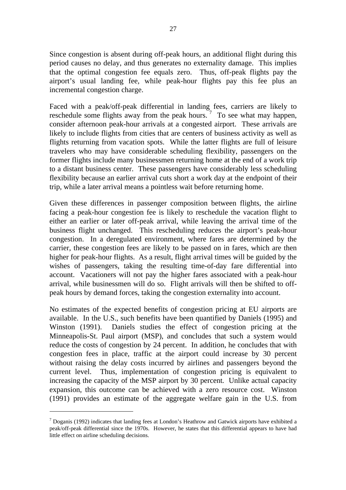Since congestion is absent during off-peak hours, an additional flight during this period causes no delay, and thus generates no externality damage. This implies that the optimal congestion fee equals zero. Thus, off-peak flights pay the airport's usual landing fee, while peak-hour flights pay this fee plus an incremental congestion charge.

Faced with a peak/off-peak differential in landing fees, carriers are likely to reschedule some flights away from the peak hours.<sup>7</sup> To see what may happen, consider afternoon peak-hour arrivals at a congested airport. These arrivals are likely to include flights from cities that are centers of business activity as well as flights returning from vacation spots. While the latter flights are full of leisure travelers who may have considerable scheduling flexibility, passengers on the former flights include many businessmen returning home at the end of a work trip to a distant business center. These passengers have considerably less scheduling flexibility because an earlier arrival cuts short a work day at the endpoint of their trip, while a later arrival means a pointless wait before returning home.

Given these differences in passenger composition between flights, the airline facing a peak-hour congestion fee is likely to reschedule the vacation flight to either an earlier or later off-peak arrival, while leaving the arrival time of the business flight unchanged. This rescheduling reduces the airport's peak-hour congestion. In a deregulated environment, where fares are determined by the carrier, these congestion fees are likely to be passed on in fares, which are then higher for peak-hour flights. As a result, flight arrival times will be guided by the wishes of passengers, taking the resulting time-of-day fare differential into account. Vacationers will not pay the higher fares associated with a peak-hour arrival, while businessmen will do so. Flight arrivals will then be shifted to offpeak hours by demand forces, taking the congestion externality into account.

No estimates of the expected benefits of congestion pricing at EU airports are available. In the U.S., such benefits have been quantified by Daniels (1995) and Winston (1991). Daniels studies the effect of congestion pricing at the Minneapolis-St. Paul airport (MSP), and concludes that such a system would reduce the costs of congestion by 24 percent. In addition, he concludes that with congestion fees in place, traffic at the airport could increase by 30 percent without raising the delay costs incurred by airlines and passengers beyond the current level. Thus, implementation of congestion pricing is equivalent to increasing the capacity of the MSP airport by 30 percent*.* Unlike actual capacity expansion, this outcome can be achieved with a zero resource cost. Winston (1991) provides an estimate of the aggregate welfare gain in the U.S. from

 $\overline{a}$ 

 $<sup>7</sup>$  Doganis (1992) indicates that landing fees at London's Heathrow and Gatwick airports have exhibited a</sup> peak/off-peak differential since the 1970s. However, he states that this differential appears to have had little effect on airline scheduling decisions.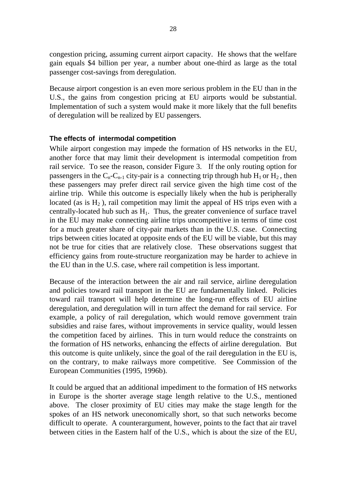congestion pricing, assuming current airport capacity. He shows that the welfare gain equals \$4 billion per year, a number about one-third as large as the total passenger cost-savings from deregulation.

Because airport congestion is an even more serious problem in the EU than in the U.S., the gains from congestion pricing at EU airports would be substantial. Implementation of such a system would make it more likely that the full benefits of deregulation will be realized by EU passengers.

### **The effects of intermodal competition**

While airport congestion may impede the formation of HS networks in the EU, another force that may limit their development is intermodal competition from rail service. To see the reason, consider Figure 3. If the only routing option for passengers in the  $C_n$ - $C_{n-1}$  city-pair is a connecting trip through hub  $H_1$  or  $H_2$ , then these passengers may prefer direct rail service given the high time cost of the airline trip. While this outcome is especially likely when the hub is peripherally located (as is  $H_2$ ), rail competition may limit the appeal of HS trips even with a centrally-located hub such as  $H_1$ . Thus, the greater convenience of surface travel in the EU may make connecting airline trips uncompetitive in terms of time cost for a much greater share of city-pair markets than in the U.S. case. Connecting trips between cities located at opposite ends of the EU will be viable, but this may not be true for cities that are relatively close. These observations suggest that efficiency gains from route-structure reorganization may be harder to achieve in the EU than in the U.S. case, where rail competition is less important.

Because of the interaction between the air and rail service, airline deregulation and policies toward rail transport in the EU are fundamentally linked. Policies toward rail transport will help determine the long-run effects of EU airline deregulation, and deregulation will in turn affect the demand for rail service. For example, a policy of rail deregulation, which would remove government train subsidies and raise fares, without improvements in service quality, would lessen the competition faced by airlines. This in turn would reduce the constraints on the formation of HS networks, enhancing the effects of airline deregulation. But this outcome is quite unlikely, since the goal of the rail deregulation in the EU is, on the contrary, to make railways more competitive. See Commission of the European Communities (1995, 1996b).

It could be argued that an additional impediment to the formation of HS networks in Europe is the shorter average stage length relative to the U.S., mentioned above. The closer proximity of EU cities may make the stage length for the spokes of an HS network uneconomically short, so that such networks become difficult to operate. A counterargument, however, points to the fact that air travel between cities in the Eastern half of the U.S., which is about the size of the EU,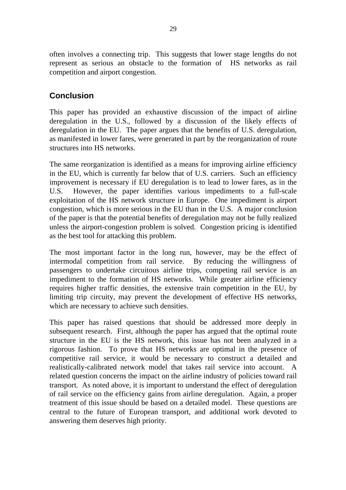often involves a connecting trip. This suggests that lower stage lengths do not represent as serious an obstacle to the formation of HS networks as rail competition and airport congestion.

## **Conclusion**

This paper has provided an exhaustive discussion of the impact of airline deregulation in the U.S., followed by a discussion of the likely effects of deregulation in the EU. The paper argues that the benefits of U.S. deregulation, as manifested in lower fares, were generated in part by the reorganization of route structures into HS networks.

The same reorganization is identified as a means for improving airline efficiency in the EU, which is currently far below that of U.S. carriers. Such an efficiency improvement is necessary if EU deregulation is to lead to lower fares, as in the U.S. However, the paper identifies various impediments to a full-scale exploitation of the HS network structure in Europe. One impediment is airport congestion, which is more serious in the EU than in the U.S. A major conclusion of the paper is that the potential benefits of deregulation may not be fully realized unless the airport-congestion problem is solved. Congestion pricing is identified as the best tool for attacking this problem.

The most important factor in the long run, however, may be the effect of intermodal competition from rail service. By reducing the willingness of passengers to undertake circuitous airline trips, competing rail service is an impediment to the formation of HS networks. While greater airline efficiency requires higher traffic densities, the extensive train competition in the EU, by limiting trip circuity, may prevent the development of effective HS networks, which are necessary to achieve such densities.

This paper has raised questions that should be addressed more deeply in subsequent research. First, although the paper has argued that the optimal route structure in the EU is the HS network, this issue has not been analyzed in a rigorous fashion. To prove that HS networks are optimal in the presence of competitive rail service, it would be necessary to construct a detailed and realistically-calibrated network model that takes rail service into account. A related question concerns the impact on the airline industry of policies toward rail transport. As noted above, it is important to understand the effect of deregulation of rail service on the efficiency gains from airline deregulation. Again, a proper treatment of this issue should be based on a detailed model. These questions are central to the future of European transport, and additional work devoted to answering them deserves high priority.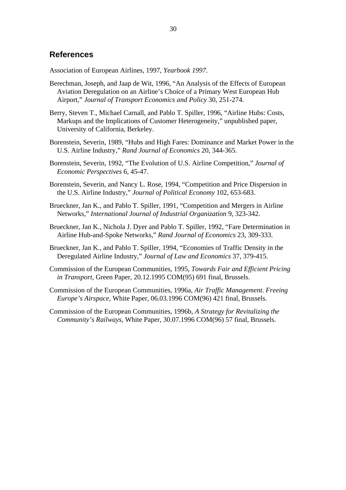#### **References**

Association of European Airlines, 1997, *Yearbook 1997*.

- Berechman, Joseph, and Jaap de Wit, 1996, "An Analysis of the Effects of European Aviation Deregulation on an Airline's Choice of a Primary West European Hub Airport," *Journal of Transport Economics and Policy* 30, 251-274.
- Berry, Steven T., Michael Carnall, and Pablo T. Spiller, 1996, "Airline Hubs: Costs, Markups and the Implications of Customer Heterogeneity," unpublished paper, University of California, Berkeley.
- Borenstein, Severin, 1989, "Hubs and High Fares: Dominance and Market Power in the U.S. Airline Industry," *Rand Journal of Economics* 20, 344-365.
- Borenstein, Severin, 1992, "The Evolution of U.S. Airline Competition," *Journal of Economic Perspectives* 6, 45-47.
- Borenstein, Severin, and Nancy L. Rose, 1994, "Competition and Price Dispersion in the U.S. Airline Industry," *Journal of Political Economy* 102, 653-683.
- Brueckner, Jan K., and Pablo T. Spiller, 1991, "Competition and Mergers in Airline Networks," *International Journal of Industrial Organization* 9, 323-342.
- Brueckner, Jan K., Nichola J. Dyer and Pablo T. Spiller, 1992, "Fare Determination in Airline Hub-and-Spoke Networks," *Rand Journal of Economics* 23, 309-333.
- Brueckner, Jan K., and Pablo T. Spiller, 1994, "Economies of Traffic Density in the Deregulated Airline Industry," *Journal of Law and Economics* 37, 379-415.
- Commission of the European Communities, 1995, *Towards Fair and Efficient Pricing in Transport,* Green Paper, 20.12.1995 COM(95) 691 final, Brussels.
- Commission of the European Communities, 1996a, *Air Traffic Management. Freeing Europe's Airspace*, White Paper, 06.03.1996 COM(96) 421 final, Brussels.
- Commission of the European Communities, 1996b, *A Strategy for Revitalizing the Community's Railways*, White Paper, 30.07.1996 COM(96) 57 final, Brussels.